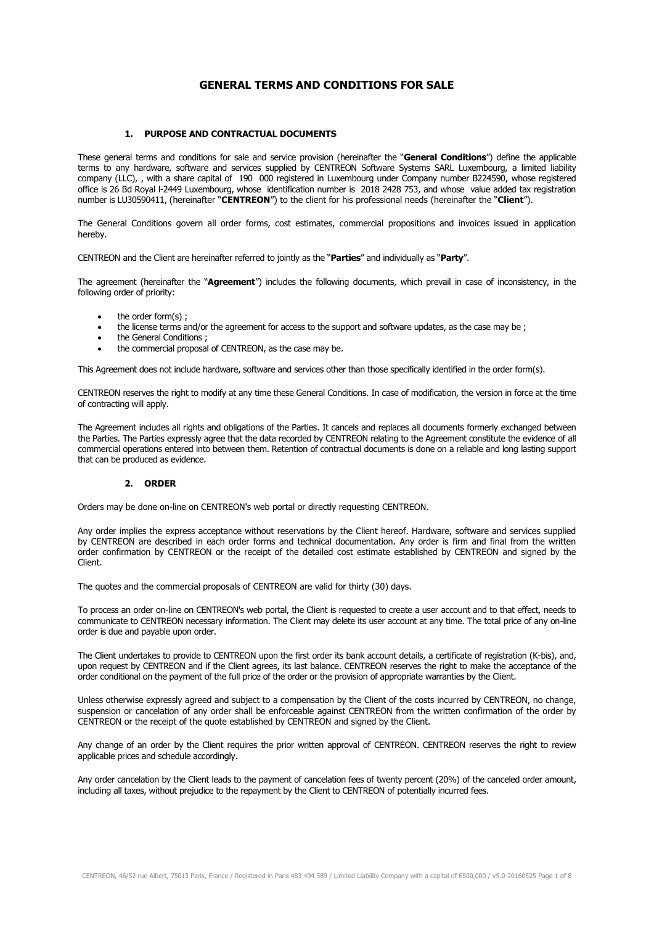# **GENERAL TERMS AND CONDITIONS FOR SALE**

### **1. PURPOSE AND CONTRACTUAL DOCUMENTS**

These general terms and conditions for sale and service provision (hereinafter the "**General Conditions**") define the applicable terms to any hardware, software and services supplied by CENTREON Software Systems SARL Luxembourg, a limited liability company (LLC), , with a share capital of 190 000 registered in Luxembourg under Company number B224590, whose registered office is 26 Bd Royal l-2449 Luxembourg, whose identification number is 2018 2428 753, and whose value added tax registration number is LU30590411, (hereinafter "**CENTREON**") to the client for his professional needs (hereinafter the "**Client**").

The General Conditions govern all order forms, cost estimates, commercial propositions and invoices issued in application hereby.

CENTREON and the Client are hereinafter referred to jointly as the "**Parties**" and individually as "**Party**".

The agreement (hereinafter the "**Agreement**") includes the following documents, which prevail in case of inconsistency, in the following order of priority:

- the order form(s);
- the license terms and/or the agreement for access to the support and software updates, as the case may be ;
- the General Conditions :
- the commercial proposal of CENTREON, as the case may be.

This Agreement does not include hardware, software and services other than those specifically identified in the order form(s).

CENTREON reserves the right to modify at any time these General Conditions. In case of modification, the version in force at the time of contracting will apply.

The Agreement includes all rights and obligations of the Parties. It cancels and replaces all documents formerly exchanged between the Parties. The Parties expressly agree that the data recorded by CENTREON relating to the Agreement constitute the evidence of all commercial operations entered into between them. Retention of contractual documents is done on a reliable and long lasting support that can be produced as evidence.

#### **2. ORDER**

Orders may be done on-line on CENTREON's web portal or directly requesting CENTREON.

Any order implies the express acceptance without reservations by the Client hereof. Hardware, software and services supplied by CENTREON are described in each order forms and technical documentation. Any order is firm and final from the written order confirmation by CENTREON or the receipt of the detailed cost estimate established by CENTREON and signed by the Client.

The quotes and the commercial proposals of CENTREON are valid for thirty (30) days.

To process an order on-line on CENTREON's web portal, the Client is requested to create a user account and to that effect, needs to communicate to CENTREON necessary information. The Client may delete its user account at any time. The total price of any on-line order is due and payable upon order.

The Client undertakes to provide to CENTREON upon the first order its bank account details, a certificate of registration (K-bis), and, upon request by CENTREON and if the Client agrees, its last balance. CENTREON reserves the right to make the acceptance of the order conditional on the payment of the full price of the order or the provision of appropriate warranties by the Client.

Unless otherwise expressly agreed and subject to a compensation by the Client of the costs incurred by CENTREON, no change, suspension or cancelation of any order shall be enforceable against CENTREON from the written confirmation of the order by CENTREON or the receipt of the quote established by CENTREON and signed by the Client.

Any change of an order by the Client requires the prior written approval of CENTREON. CENTREON reserves the right to review applicable prices and schedule accordingly.

Any order cancelation by the Client leads to the payment of cancelation fees of twenty percent (20%) of the canceled order amount, including all taxes, without prejudice to the repayment by the Client to CENTREON of potentially incurred fees.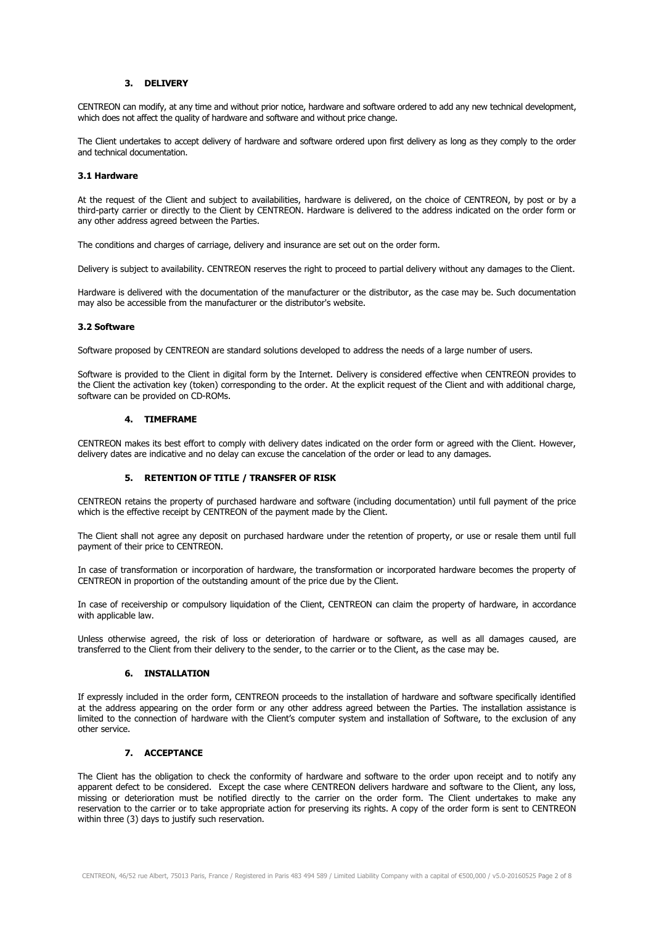### **3. DELIVERY**

CENTREON can modify, at any time and without prior notice, hardware and software ordered to add any new technical development, which does not affect the quality of hardware and software and without price change.

The Client undertakes to accept delivery of hardware and software ordered upon first delivery as long as they comply to the order and technical documentation.

#### **3.1 Hardware**

At the request of the Client and subject to availabilities, hardware is delivered, on the choice of CENTREON, by post or by a third-party carrier or directly to the Client by CENTREON. Hardware is delivered to the address indicated on the order form or any other address agreed between the Parties.

The conditions and charges of carriage, delivery and insurance are set out on the order form.

Delivery is subject to availability. CENTREON reserves the right to proceed to partial delivery without any damages to the Client.

Hardware is delivered with the documentation of the manufacturer or the distributor, as the case may be. Such documentation may also be accessible from the manufacturer or the distributor's website.

#### **3.2 Software**

Software proposed by CENTREON are standard solutions developed to address the needs of a large number of users.

Software is provided to the Client in digital form by the Internet. Delivery is considered effective when CENTREON provides to the Client the activation key (token) corresponding to the order. At the explicit request of the Client and with additional charge, software can be provided on CD-ROMs.

#### **4. TIMEFRAME**

CENTREON makes its best effort to comply with delivery dates indicated on the order form or agreed with the Client. However, delivery dates are indicative and no delay can excuse the cancelation of the order or lead to any damages.

#### **5. RETENTION OF TITLE / TRANSFER OF RISK**

CENTREON retains the property of purchased hardware and software (including documentation) until full payment of the price which is the effective receipt by CENTREON of the payment made by the Client.

The Client shall not agree any deposit on purchased hardware under the retention of property, or use or resale them until full payment of their price to CENTREON.

In case of transformation or incorporation of hardware, the transformation or incorporated hardware becomes the property of CENTREON in proportion of the outstanding amount of the price due by the Client.

In case of receivership or compulsory liquidation of the Client, CENTREON can claim the property of hardware, in accordance with applicable law.

Unless otherwise agreed, the risk of loss or deterioration of hardware or software, as well as all damages caused, are transferred to the Client from their delivery to the sender, to the carrier or to the Client, as the case may be.

### **6. INSTALLATION**

If expressly included in the order form, CENTREON proceeds to the installation of hardware and software specifically identified at the address appearing on the order form or any other address agreed between the Parties. The installation assistance is limited to the connection of hardware with the Client's computer system and installation of Software, to the exclusion of any other service.

### **7. ACCEPTANCE**

The Client has the obligation to check the conformity of hardware and software to the order upon receipt and to notify any apparent defect to be considered. Except the case where CENTREON delivers hardware and software to the Client, any loss, missing or deterioration must be notified directly to the carrier on the order form. The Client undertakes to make any reservation to the carrier or to take appropriate action for preserving its rights. A copy of the order form is sent to CENTREON within three (3) days to justify such reservation.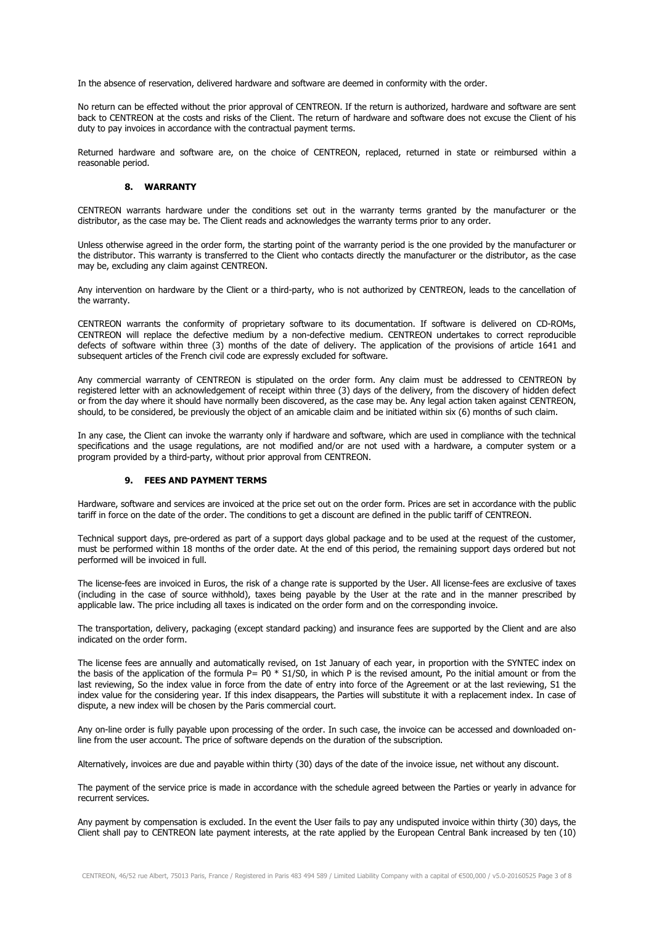In the absence of reservation, delivered hardware and software are deemed in conformity with the order.

No return can be effected without the prior approval of CENTREON. If the return is authorized, hardware and software are sent back to CENTREON at the costs and risks of the Client. The return of hardware and software does not excuse the Client of his duty to pay invoices in accordance with the contractual payment terms.

Returned hardware and software are, on the choice of CENTREON, replaced, returned in state or reimbursed within a reasonable period.

### **8. WARRANTY**

CENTREON warrants hardware under the conditions set out in the warranty terms granted by the manufacturer or the distributor, as the case may be. The Client reads and acknowledges the warranty terms prior to any order.

Unless otherwise agreed in the order form, the starting point of the warranty period is the one provided by the manufacturer or the distributor. This warranty is transferred to the Client who contacts directly the manufacturer or the distributor, as the case may be, excluding any claim against CENTREON.

Any intervention on hardware by the Client or a third-party, who is not authorized by CENTREON, leads to the cancellation of the warranty.

CENTREON warrants the conformity of proprietary software to its documentation. If software is delivered on CD-ROMs, CENTREON will replace the defective medium by a non-defective medium. CENTREON undertakes to correct reproducible defects of software within three (3) months of the date of delivery. The application of the provisions of article 1641 and subsequent articles of the French civil code are expressly excluded for software.

Any commercial warranty of CENTREON is stipulated on the order form. Any claim must be addressed to CENTREON by registered letter with an acknowledgement of receipt within three (3) days of the delivery, from the discovery of hidden defect or from the day where it should have normally been discovered, as the case may be. Any legal action taken against CENTREON, should, to be considered, be previously the object of an amicable claim and be initiated within six (6) months of such claim.

In any case, the Client can invoke the warranty only if hardware and software, which are used in compliance with the technical specifications and the usage regulations, are not modified and/or are not used with a hardware, a computer system or a program provided by a third-party, without prior approval from CENTREON.

### **9. FEES AND PAYMENT TERMS**

Hardware, software and services are invoiced at the price set out on the order form. Prices are set in accordance with the public tariff in force on the date of the order. The conditions to get a discount are defined in the public tariff of CENTREON.

Technical support days, pre-ordered as part of a support days global package and to be used at the request of the customer, must be performed within 18 months of the order date. At the end of this period, the remaining support days ordered but not performed will be invoiced in full.

The license-fees are invoiced in Euros, the risk of a change rate is supported by the User. All license-fees are exclusive of taxes (including in the case of source withhold), taxes being payable by the User at the rate and in the manner prescribed by applicable law. The price including all taxes is indicated on the order form and on the corresponding invoice.

The transportation, delivery, packaging (except standard packing) and insurance fees are supported by the Client and are also indicated on the order form.

The license fees are annually and automatically revised, on 1st January of each year, in proportion with the SYNTEC index on the basis of the application of the formula  $P = P0 * S1/S0$ , in which P is the revised amount, Po the initial amount or from the last reviewing, So the index value in force from the date of entry into force of the Agreement or at the last reviewing, S1 the index value for the considering year. If this index disappears, the Parties will substitute it with a replacement index. In case of dispute, a new index will be chosen by the Paris commercial court.

Any on-line order is fully payable upon processing of the order. In such case, the invoice can be accessed and downloaded online from the user account. The price of software depends on the duration of the subscription.

Alternatively, invoices are due and payable within thirty (30) days of the date of the invoice issue, net without any discount.

The payment of the service price is made in accordance with the schedule agreed between the Parties or yearly in advance for recurrent services.

Any payment by compensation is excluded. In the event the User fails to pay any undisputed invoice within thirty (30) days, the Client shall pay to CENTREON late payment interests, at the rate applied by the European Central Bank increased by ten (10)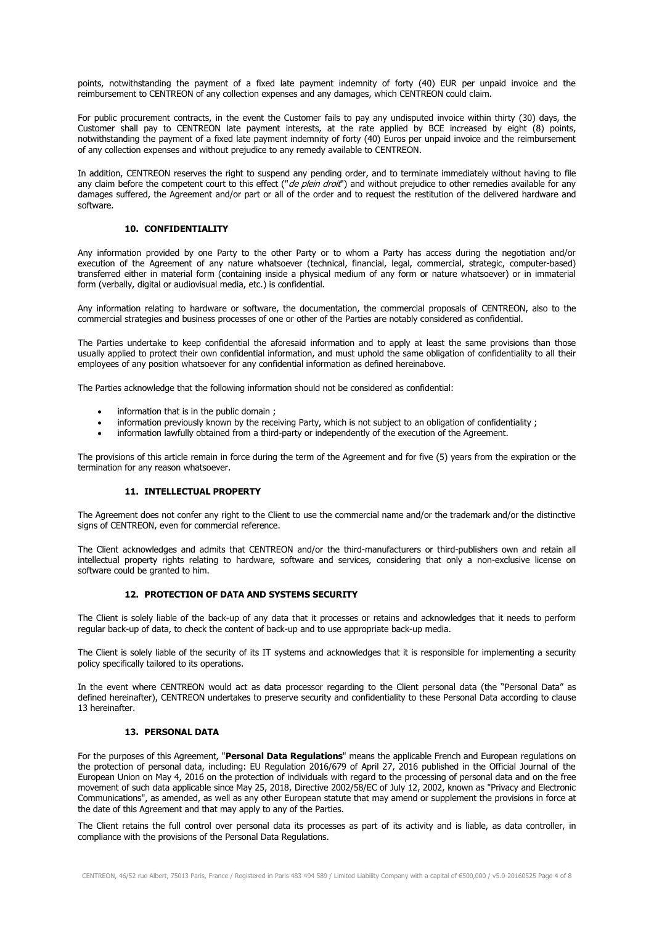points, notwithstanding the payment of a fixed late payment indemnity of forty (40) EUR per unpaid invoice and the reimbursement to CENTREON of any collection expenses and any damages, which CENTREON could claim.

For public procurement contracts, in the event the Customer fails to pay any undisputed invoice within thirty (30) days, the Customer shall pay to CENTREON late payment interests, at the rate applied by BCE increased by eight (8) points, notwithstanding the payment of a fixed late payment indemnity of forty (40) Euros per unpaid invoice and the reimbursement of any collection expenses and without prejudice to any remedy available to CENTREON.

In addition, CENTREON reserves the right to suspend any pending order, and to terminate immediately without having to file any claim before the competent court to this effect ("*de plein droit*") and without prejudice to other remedies available for any damages suffered, the Agreement and/or part or all of the order and to request the restitution of the delivered hardware and software.

# **10. CONFIDENTIALITY**

Any information provided by one Party to the other Party or to whom a Party has access during the negotiation and/or execution of the Agreement of any nature whatsoever (technical, financial, legal, commercial, strategic, computer-based) transferred either in material form (containing inside a physical medium of any form or nature whatsoever) or in immaterial form (verbally, digital or audiovisual media, etc.) is confidential.

Any information relating to hardware or software, the documentation, the commercial proposals of CENTREON, also to the commercial strategies and business processes of one or other of the Parties are notably considered as confidential.

The Parties undertake to keep confidential the aforesaid information and to apply at least the same provisions than those usually applied to protect their own confidential information, and must uphold the same obligation of confidentiality to all their employees of any position whatsoever for any confidential information as defined hereinabove.

The Parties acknowledge that the following information should not be considered as confidential:

- information that is in the public domain;
- information previously known by the receiving Party, which is not subject to an obligation of confidentiality;
- information lawfully obtained from a third-party or independently of the execution of the Agreement.

The provisions of this article remain in force during the term of the Agreement and for five (5) years from the expiration or the termination for any reason whatsoever.

### **11. INTELLECTUAL PROPERTY**

The Agreement does not confer any right to the Client to use the commercial name and/or the trademark and/or the distinctive signs of CENTREON, even for commercial reference.

The Client acknowledges and admits that CENTREON and/or the third-manufacturers or third-publishers own and retain all intellectual property rights relating to hardware, software and services, considering that only a non-exclusive license on software could be granted to him.

### **12. PROTECTION OF DATA AND SYSTEMS SECURITY**

The Client is solely liable of the back-up of any data that it processes or retains and acknowledges that it needs to perform regular back-up of data, to check the content of back-up and to use appropriate back-up media.

The Client is solely liable of the security of its IT systems and acknowledges that it is responsible for implementing a security policy specifically tailored to its operations.

In the event where CENTREON would act as data processor regarding to the Client personal data (the "Personal Data" as defined hereinafter), CENTREON undertakes to preserve security and confidentiality to these Personal Data according to clause 13 hereinafter.

# **13. PERSONAL DATA**

For the purposes of this Agreement, "**Personal Data Regulations**" means the applicable French and European regulations on the protection of personal data, including: EU Regulation 2016/679 of April 27, 2016 published in the Official Journal of the European Union on May 4, 2016 on the protection of individuals with regard to the processing of personal data and on the free movement of such data applicable since May 25, 2018, Directive 2002/58/EC of July 12, 2002, known as "Privacy and Electronic Communications", as amended, as well as any other European statute that may amend or supplement the provisions in force at the date of this Agreement and that may apply to any of the Parties.

The Client retains the full control over personal data its processes as part of its activity and is liable, as data controller, in compliance with the provisions of the Personal Data Regulations.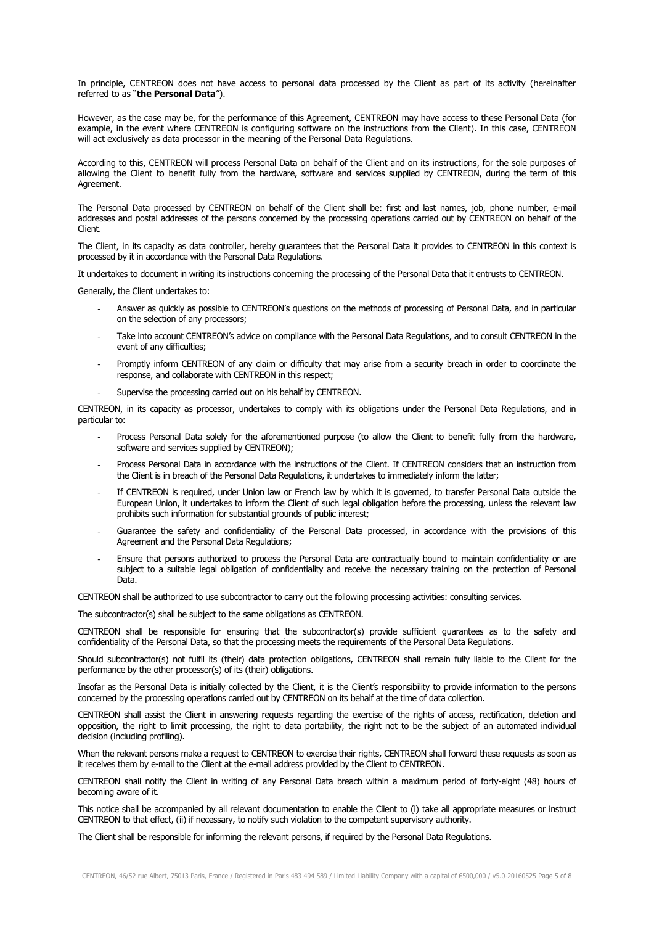In principle, CENTREON does not have access to personal data processed by the Client as part of its activity (hereinafter referred to as "**the Personal Data**").

However, as the case may be, for the performance of this Agreement, CENTREON may have access to these Personal Data (for example, in the event where CENTREON is configuring software on the instructions from the Client). In this case, CENTREON will act exclusively as data processor in the meaning of the Personal Data Regulations.

According to this, CENTREON will process Personal Data on behalf of the Client and on its instructions, for the sole purposes of allowing the Client to benefit fully from the hardware, software and services supplied by CENTREON, during the term of this Agreement.

The Personal Data processed by CENTREON on behalf of the Client shall be: first and last names, job, phone number, e-mail addresses and postal addresses of the persons concerned by the processing operations carried out by CENTREON on behalf of the Client.

The Client, in its capacity as data controller, hereby guarantees that the Personal Data it provides to CENTREON in this context is processed by it in accordance with the Personal Data Regulations.

It undertakes to document in writing its instructions concerning the processing of the Personal Data that it entrusts to CENTREON.

Generally, the Client undertakes to:

- Answer as quickly as possible to CENTREON's questions on the methods of processing of Personal Data, and in particular on the selection of any processors;
- Take into account CENTREON's advice on compliance with the Personal Data Regulations, and to consult CENTREON in the event of any difficulties;
- Promptly inform CENTREON of any claim or difficulty that may arise from a security breach in order to coordinate the response, and collaborate with CENTREON in this respect;
- Supervise the processing carried out on his behalf by CENTREON.

CENTREON, in its capacity as processor, undertakes to comply with its obligations under the Personal Data Regulations, and in particular to:

- Process Personal Data solely for the aforementioned purpose (to allow the Client to benefit fully from the hardware, software and services supplied by CENTREON);
- Process Personal Data in accordance with the instructions of the Client. If CENTREON considers that an instruction from the Client is in breach of the Personal Data Regulations, it undertakes to immediately inform the latter;
- If CENTREON is required, under Union law or French law by which it is governed, to transfer Personal Data outside the European Union, it undertakes to inform the Client of such legal obligation before the processing, unless the relevant law prohibits such information for substantial grounds of public interest;
- Guarantee the safety and confidentiality of the Personal Data processed, in accordance with the provisions of this Agreement and the Personal Data Regulations;
- Ensure that persons authorized to process the Personal Data are contractually bound to maintain confidentiality or are subject to a suitable legal obligation of confidentiality and receive the necessary training on the protection of Personal Data.

CENTREON shall be authorized to use subcontractor to carry out the following processing activities: consulting services.

The subcontractor(s) shall be subject to the same obligations as CENTREON.

CENTREON shall be responsible for ensuring that the subcontractor(s) provide sufficient guarantees as to the safety and confidentiality of the Personal Data, so that the processing meets the requirements of the Personal Data Regulations.

Should subcontractor(s) not fulfil its (their) data protection obligations, CENTREON shall remain fully liable to the Client for the performance by the other processor(s) of its (their) obligations.

Insofar as the Personal Data is initially collected by the Client, it is the Client's responsibility to provide information to the persons concerned by the processing operations carried out by CENTREON on its behalf at the time of data collection.

CENTREON shall assist the Client in answering requests regarding the exercise of the rights of access, rectification, deletion and opposition, the right to limit processing, the right to data portability, the right not to be the subject of an automated individual decision (including profiling).

When the relevant persons make a request to CENTREON to exercise their rights, CENTREON shall forward these requests as soon as it receives them by e-mail to the Client at the e-mail address provided by the Client to CENTREON.

CENTREON shall notify the Client in writing of any Personal Data breach within a maximum period of forty-eight (48) hours of becoming aware of it.

This notice shall be accompanied by all relevant documentation to enable the Client to (i) take all appropriate measures or instruct CENTREON to that effect, (ii) if necessary, to notify such violation to the competent supervisory authority.

The Client shall be responsible for informing the relevant persons, if required by the Personal Data Regulations.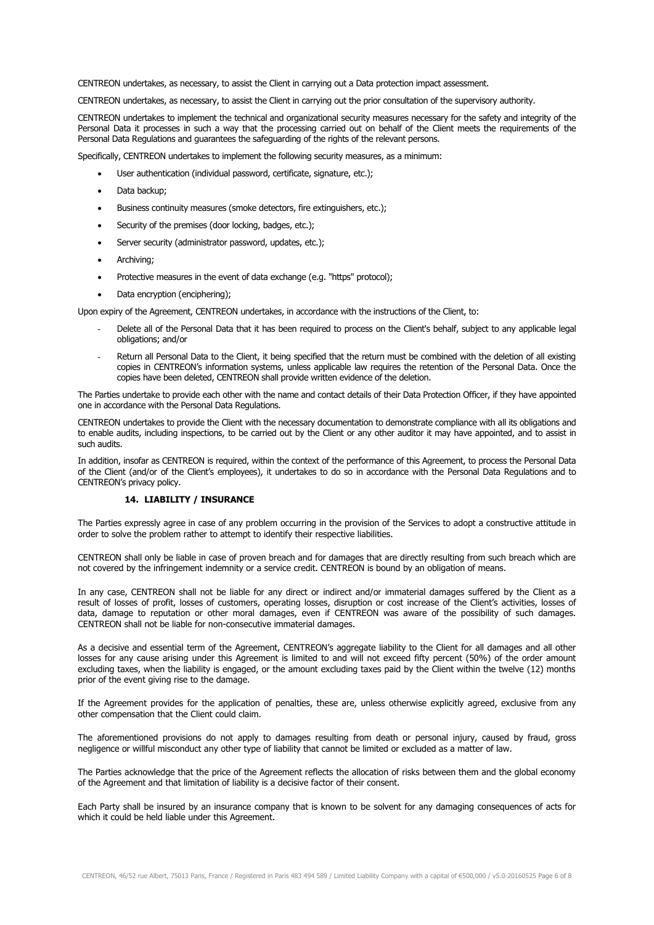CENTREON undertakes, as necessary, to assist the Client in carrying out a Data protection impact assessment.

CENTREON undertakes, as necessary, to assist the Client in carrying out the prior consultation of the supervisory authority.

CENTREON undertakes to implement the technical and organizational security measures necessary for the safety and integrity of the Personal Data it processes in such a way that the processing carried out on behalf of the Client meets the requirements of the Personal Data Regulations and guarantees the safeguarding of the rights of the relevant persons.

Specifically, CENTREON undertakes to implement the following security measures, as a minimum:

- User authentication (individual password, certificate, signature, etc.);
- Data backup;
- Business continuity measures (smoke detectors, fire extinguishers, etc.);
- Security of the premises (door locking, badges, etc.);
- Server security (administrator password, updates, etc.);
- Archiving:
- Protective measures in the event of data exchange (e.g. "https" protocol);
- Data encryption (enciphering);

Upon expiry of the Agreement, CENTREON undertakes, in accordance with the instructions of the Client, to:

- Delete all of the Personal Data that it has been required to process on the Client's behalf, subject to any applicable legal obligations; and/or
- Return all Personal Data to the Client, it being specified that the return must be combined with the deletion of all existing copies in CENTREON's information systems, unless applicable law requires the retention of the Personal Data. Once the copies have been deleted, CENTREON shall provide written evidence of the deletion.

The Parties undertake to provide each other with the name and contact details of their Data Protection Officer, if they have appointed one in accordance with the Personal Data Regulations.

CENTREON undertakes to provide the Client with the necessary documentation to demonstrate compliance with all its obligations and to enable audits, including inspections, to be carried out by the Client or any other auditor it may have appointed, and to assist in such audits.

In addition, insofar as CENTREON is required, within the context of the performance of this Agreement, to process the Personal Data of the Client (and/or of the Client's employees), it undertakes to do so in accordance with the Personal Data Regulations and to CENTREON's privacy policy.

# **14. LIABILITY / INSURANCE**

The Parties expressly agree in case of any problem occurring in the provision of the Services to adopt a constructive attitude in order to solve the problem rather to attempt to identify their respective liabilities.

CENTREON shall only be liable in case of proven breach and for damages that are directly resulting from such breach which are not covered by the infringement indemnity or a service credit. CENTREON is bound by an obligation of means.

In any case, CENTREON shall not be liable for any direct or indirect and/or immaterial damages suffered by the Client as a result of losses of profit, losses of customers, operating losses, disruption or cost increase of the Client's activities, losses of data, damage to reputation or other moral damages, even if CENTREON was aware of the possibility of such damages. CENTREON shall not be liable for non-consecutive immaterial damages.

As a decisive and essential term of the Agreement, CENTREON's aggregate liability to the Client for all damages and all other losses for any cause arising under this Agreement is limited to and will not exceed fifty percent (50%) of the order amount excluding taxes, when the liability is engaged, or the amount excluding taxes paid by the Client within the twelve (12) months prior of the event giving rise to the damage.

If the Agreement provides for the application of penalties, these are, unless otherwise explicitly agreed, exclusive from any other compensation that the Client could claim.

The aforementioned provisions do not apply to damages resulting from death or personal injury, caused by fraud, gross negligence or willful misconduct any other type of liability that cannot be limited or excluded as a matter of law.

The Parties acknowledge that the price of the Agreement reflects the allocation of risks between them and the global economy of the Agreement and that limitation of liability is a decisive factor of their consent.

Each Party shall be insured by an insurance company that is known to be solvent for any damaging consequences of acts for which it could be held liable under this Agreement.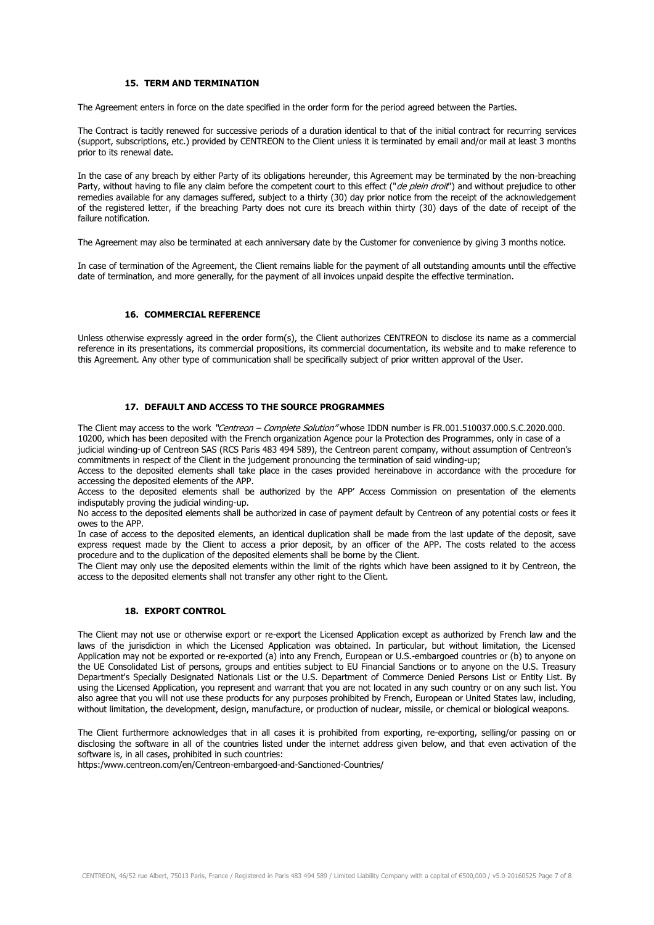### **15. TERM AND TERMINATION**

The Agreement enters in force on the date specified in the order form for the period agreed between the Parties.

The Contract is tacitly renewed for successive periods of a duration identical to that of the initial contract for recurring services (support, subscriptions, etc.) provided by CENTREON to the Client unless it is terminated by email and/or mail at least 3 months prior to its renewal date.

In the case of any breach by either Party of its obligations hereunder, this Agreement may be terminated by the non-breaching Party, without having to file any claim before the competent court to this effect ("de plein droit") and without prejudice to other remedies available for any damages suffered, subject to a thirty (30) day prior notice from the receipt of the acknowledgement of the registered letter, if the breaching Party does not cure its breach within thirty (30) days of the date of receipt of the failure notification.

The Agreement may also be terminated at each anniversary date by the Customer for convenience by giving 3 months notice.

In case of termination of the Agreement, the Client remains liable for the payment of all outstanding amounts until the effective date of termination, and more generally, for the payment of all invoices unpaid despite the effective termination.

### **16. COMMERCIAL REFERENCE**

Unless otherwise expressly agreed in the order form(s), the Client authorizes CENTREON to disclose its name as a commercial reference in its presentations, its commercial propositions, its commercial documentation, its website and to make reference to this Agreement. Any other type of communication shall be specifically subject of prior written approval of the User.

# **17. DEFAULT AND ACCESS TO THE SOURCE PROGRAMMES**

The Client may access to the work "Centreon – Complete Solution" whose IDDN number is FR.001.510037.000.S.C.2020.000. 10200, which has been deposited with the French organization Agence pour la Protection des Programmes, only in case of a judicial winding-up of Centreon SAS (RCS Paris 483 494 589), the Centreon parent company, without assumption of Centreon's commitments in respect of the Client in the judgement pronouncing the termination of said winding-up;

Access to the deposited elements shall take place in the cases provided hereinabove in accordance with the procedure for accessing the deposited elements of the APP.

Access to the deposited elements shall be authorized by the APP' Access Commission on presentation of the elements indisputably proving the judicial winding-up.

No access to the deposited elements shall be authorized in case of payment default by Centreon of any potential costs or fees it owes to the APP.

In case of access to the deposited elements, an identical duplication shall be made from the last update of the deposit, save express request made by the Client to access a prior deposit, by an officer of the APP. The costs related to the access procedure and to the duplication of the deposited elements shall be borne by the Client.

The Client may only use the deposited elements within the limit of the rights which have been assigned to it by Centreon, the access to the deposited elements shall not transfer any other right to the Client.

# **18. EXPORT CONTROL**

The Client may not use or otherwise export or re-export the Licensed Application except as authorized by French law and the laws of the jurisdiction in which the Licensed Application was obtained. In particular, but without limitation, the Licensed Application may not be exported or re-exported (a) into any French, European or U.S.-embargoed countries or (b) to anyone on the UE Consolidated List of persons, groups and entities subject to EU Financial Sanctions or to anyone on the U.S. Treasury Department's Specially Designated Nationals List or the U.S. Department of Commerce Denied Persons List or Entity List. By using the Licensed Application, you represent and warrant that you are not located in any such country or on any such list. You also agree that you will not use these products for any purposes prohibited by French, European or United States law, including, without limitation, the development, design, manufacture, or production of nuclear, missile, or chemical or biological weapons.

The Client furthermore acknowledges that in all cases it is prohibited from exporting, re-exporting, selling/or passing on or disclosing the software in all of the countries listed under the internet address given below, and that even activation of the software is, in all cases, prohibited in such countries:

https:/www.centreon.com/en/Centreon-embargoed-and-Sanctioned-Countries/